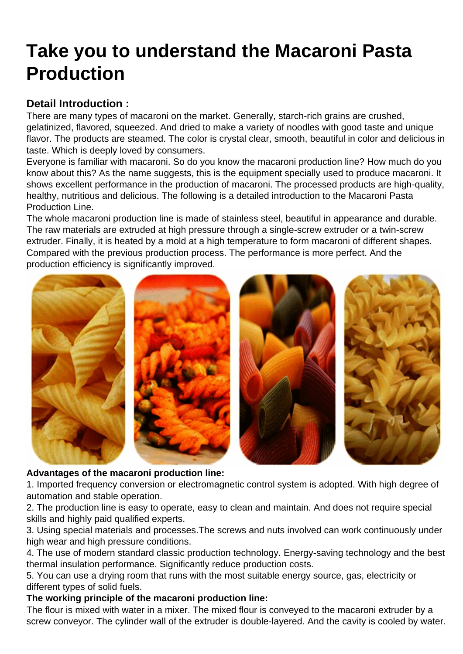## [Take you to understand the Macaroni Pasta](https://www.foodmachineryint.com/blog/take-you-to-understand-the-macaroni-pasta-production.html) Production

Detail Introduction :

There are many types of macaroni on the market. Generally, starch-rich grains are crushed, gelatinized, flavored, squeezed. And dried to make a variety of noodles with good taste and unique flavor. The products are steamed. The color is crystal clear, smooth, beautiful in color and delicious in taste. Which is deeply loved by consumers.

Everyone is familiar with macaroni. So do you know the macaroni production line? How much do you know about this? As the name suggests, this is the equipment specially used to produce macaroni. It shows excellent performance in the production of macaroni. The processed products are high-quality, healthy, nutritious and delicious. The following is a detailed introduction to the Macaroni Pasta Production Line.

The whole macaroni production line is made of stainless steel, beautiful in appearance and durable. The raw materials are extruded at high pressure through a single-screw extruder or a twin-screw extruder. Finally, it is heated by a mold at a high temperature to form macaroni of different shapes. Compared with the previous production process. The performance is more perfect. And the production efficiency is significantly improved.

Advantages of the [macaroni production line](https://www.foodmachineryint.com/macaroni-production-line/) :

1. Imported frequency conversion or electromagnetic control system is adopted. With high degree of automation and stable operation.

2. The production line is easy to operate, easy to clean and maintain. And does not require special skills and highly paid qualified experts.

3. Using special materials and processes.The screws and nuts involved can work continuously under high wear and high pressure conditions.

4. The use of modern standard classic production technology. Energy-saving technology and the best thermal insulation performance. Significantly reduce production costs.

5. You can use a drying room that runs with the most suitable energy source, gas, electricity or different types of solid fuels.

The working principle of the macaroni production line:

The flour is mixed with water in a mixer. The mixed flour is conveyed to the macaroni extruder by a screw conveyor. The cylinder wall of the extruder is double-layered. And the cavity is cooled by water.